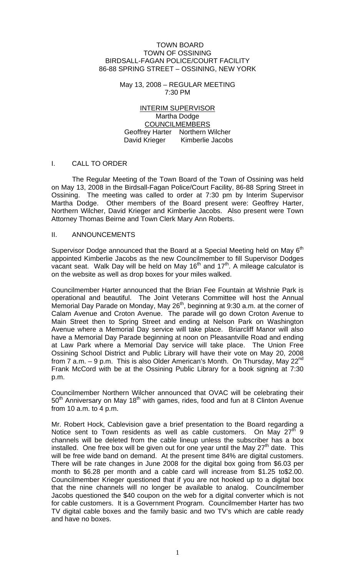#### TOWN BOARD TOWN OF OSSINING BIRDSALL-FAGAN POLICE/COURT FACILITY 86-88 SPRING STREET – OSSINING, NEW YORK

May 13, 2008 – REGULAR MEETING 7:30 PM

INTERIM SUPERVISOR Martha Dodge COUNCILMEMBERS Geoffrey Harter Northern Wilcher David Krieger Kimberlie Jacobs

### I. CALL TO ORDER

 The Regular Meeting of the Town Board of the Town of Ossining was held on May 13, 2008 in the Birdsall-Fagan Police/Court Facility, 86-88 Spring Street in Ossining. The meeting was called to order at 7:30 pm by Interim Supervisor Martha Dodge. Other members of the Board present were: Geoffrey Harter, Northern Wilcher, David Krieger and Kimberlie Jacobs. Also present were Town Attorney Thomas Beirne and Town Clerk Mary Ann Roberts.

### II. ANNOUNCEMENTS

Supervisor Dodge announced that the Board at a Special Meeting held on May  $6<sup>th</sup>$ appointed Kimberlie Jacobs as the new Councilmember to fill Supervisor Dodges vacant seat. Walk Day will be held on May  $16<sup>th</sup>$  and  $17<sup>th</sup>$ . A mileage calculator is on the website as well as drop boxes for your miles walked.

Councilmember Harter announced that the Brian Fee Fountain at Wishnie Park is operational and beautiful. The Joint Veterans Committee will host the Annual Memorial Day Parade on Monday, May  $26<sup>th</sup>$ , beginning at 9:30 a.m. at the corner of Calam Avenue and Croton Avenue. The parade will go down Croton Avenue to Main Street then to Spring Street and ending at Nelson Park on Washington Avenue where a Memorial Day service will take place. Briarcliff Manor will also have a Memorial Day Parade beginning at noon on Pleasantville Road and ending at Law Park where a Memorial Day service will take place. The Union Free Ossining School District and Public Library will have their vote on May 20, 2008 from 7 a.m. - 9 p.m. This is also Older American's Month. On Thursday, May 22<sup>nd</sup> Frank McCord with be at the Ossining Public Library for a book signing at 7:30 p.m.

Councilmember Northern Wilcher announced that OVAC will be celebrating their 50<sup>th</sup> Anniversary on May 18<sup>th</sup> with games, rides, food and fun at 8 Clinton Avenue from 10 a.m. to 4 p.m.

Mr. Robert Hock, Cablevision gave a brief presentation to the Board regarding a Notice sent to Town residents as well as cable customers. On May  $27<sup>th</sup>$  9 channels will be deleted from the cable lineup unless the subscriber has a box installed. One free box will be given out for one year until the May  $27<sup>th</sup>$  date. This will be free wide band on demand. At the present time 84% are digital customers. There will be rate changes in June 2008 for the digital box going from \$6.03 per month to \$6.28 per month and a cable card will increase from \$1.25 to\$2.00. Councilmember Krieger questioned that if you are not hooked up to a digital box that the nine channels will no longer be available to analog. Councilmember Jacobs questioned the \$40 coupon on the web for a digital converter which is not for cable customers. It is a Government Program. Councilmember Harter has two TV digital cable boxes and the family basic and two TV's which are cable ready and have no boxes.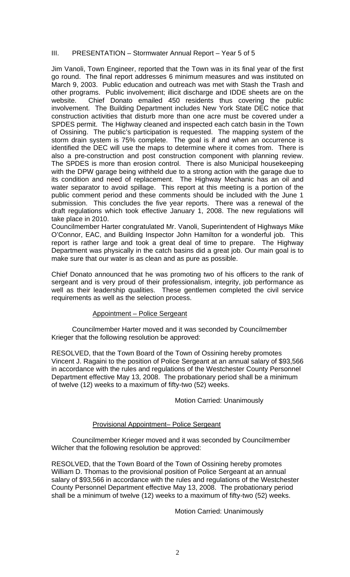## III. PRESENTATION – Stormwater Annual Report – Year 5 of 5

Jim Vanoli, Town Engineer, reported that the Town was in its final year of the first go round. The final report addresses 6 minimum measures and was instituted on March 9, 2003. Public education and outreach was met with Stash the Trash and other programs. Public involvement; illicit discharge and IDDE sheets are on the website. Chief Donato emailed 450 residents thus covering the public involvement. The Building Department includes New York State DEC notice that construction activities that disturb more than one acre must be covered under a SPDES permit. The Highway cleaned and inspected each catch basin in the Town of Ossining. The public's participation is requested. The mapping system of the storm drain system is 75% complete. The goal is if and when an occurrence is identified the DEC will use the maps to determine where it comes from. There is also a pre-construction and post construction component with planning review. The SPDES is more than erosion control. There is also Municipal housekeeping with the DPW garage being withheld due to a strong action with the garage due to its condition and need of replacement. The Highway Mechanic has an oil and water separator to avoid spillage. This report at this meeting is a portion of the public comment period and these comments should be included with the June 1 submission. This concludes the five year reports. There was a renewal of the draft regulations which took effective January 1, 2008. The new regulations will take place in 2010.

Councilmember Harter congratulated Mr. Vanoli, Superintendent of Highways Mike O'Connor, EAC, and Building Inspector John Hamilton for a wonderful job. This report is rather large and took a great deal of time to prepare. The Highway Department was physically in the catch basins did a great job. Our main goal is to make sure that our water is as clean and as pure as possible.

Chief Donato announced that he was promoting two of his officers to the rank of sergeant and is very proud of their professionalism, integrity, job performance as well as their leadership qualities. These gentlemen completed the civil service requirements as well as the selection process.

### Appointment – Police Sergeant

Councilmember Harter moved and it was seconded by Councilmember Krieger that the following resolution be approved:

RESOLVED, that the Town Board of the Town of Ossining hereby promotes Vincent J. Ragaini to the position of Police Sergeant at an annual salary of \$93,566 in accordance with the rules and regulations of the Westchester County Personnel Department effective May 13, 2008. The probationary period shall be a minimum of twelve (12) weeks to a maximum of fifty-two (52) weeks.

Motion Carried: Unanimously

## Provisional Appointment– Police Sergeant

Councilmember Krieger moved and it was seconded by Councilmember Wilcher that the following resolution be approved:

RESOLVED, that the Town Board of the Town of Ossining hereby promotes William D. Thomas to the provisional position of Police Sergeant at an annual salary of \$93,566 in accordance with the rules and regulations of the Westchester County Personnel Department effective May 13, 2008. The probationary period shall be a minimum of twelve (12) weeks to a maximum of fifty-two (52) weeks.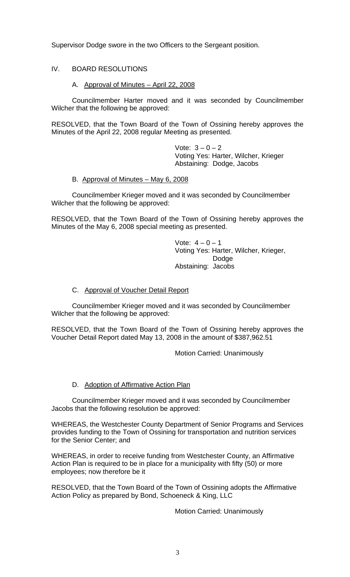Supervisor Dodge swore in the two Officers to the Sergeant position.

## IV. BOARD RESOLUTIONS

### A. Approval of Minutes – April 22, 2008

 Councilmember Harter moved and it was seconded by Councilmember Wilcher that the following be approved:

RESOLVED, that the Town Board of the Town of Ossining hereby approves the Minutes of the April 22, 2008 regular Meeting as presented.

> Vote:  $3 - 0 - 2$  Voting Yes: Harter, Wilcher, Krieger Abstaining: Dodge, Jacobs

### B. Approval of Minutes – May 6, 2008

Councilmember Krieger moved and it was seconded by Councilmember Wilcher that the following be approved:

RESOLVED, that the Town Board of the Town of Ossining hereby approves the Minutes of the May 6, 2008 special meeting as presented.

> Vote:  $4 - 0 - 1$  Voting Yes: Harter, Wilcher, Krieger, Dodge Abstaining: Jacobs

### C. Approval of Voucher Detail Report

 Councilmember Krieger moved and it was seconded by Councilmember Wilcher that the following be approved:

RESOLVED, that the Town Board of the Town of Ossining hereby approves the Voucher Detail Report dated May 13, 2008 in the amount of \$387,962.51

Motion Carried: Unanimously

### D. Adoption of Affirmative Action Plan

 Councilmember Krieger moved and it was seconded by Councilmember Jacobs that the following resolution be approved:

WHEREAS, the Westchester County Department of Senior Programs and Services provides funding to the Town of Ossining for transportation and nutrition services for the Senior Center; and

WHEREAS, in order to receive funding from Westchester County, an Affirmative Action Plan is required to be in place for a municipality with fifty (50) or more employees; now therefore be it

RESOLVED, that the Town Board of the Town of Ossining adopts the Affirmative Action Policy as prepared by Bond, Schoeneck & King, LLC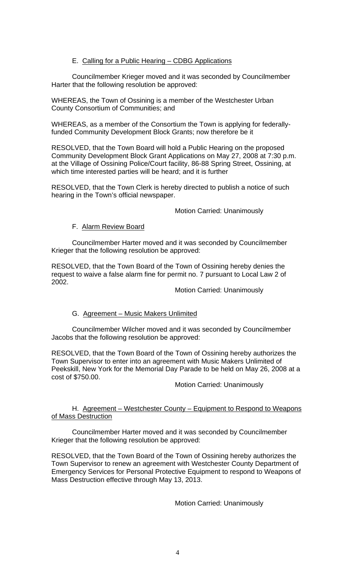## E. Calling for a Public Hearing – CDBG Applications

 Councilmember Krieger moved and it was seconded by Councilmember Harter that the following resolution be approved:

WHEREAS, the Town of Ossining is a member of the Westchester Urban County Consortium of Communities; and

WHEREAS, as a member of the Consortium the Town is applying for federallyfunded Community Development Block Grants; now therefore be it

RESOLVED, that the Town Board will hold a Public Hearing on the proposed Community Development Block Grant Applications on May 27, 2008 at 7:30 p.m. at the Village of Ossining Police/Court facility, 86-88 Spring Street, Ossining, at which time interested parties will be heard; and it is further

RESOLVED, that the Town Clerk is hereby directed to publish a notice of such hearing in the Town's official newspaper.

Motion Carried: Unanimously

### F. Alarm Review Board

 Councilmember Harter moved and it was seconded by Councilmember Krieger that the following resolution be approved:

RESOLVED, that the Town Board of the Town of Ossining hereby denies the request to waive a false alarm fine for permit no. 7 pursuant to Local Law 2 of 2002.

Motion Carried: Unanimously

### G. Agreement – Music Makers Unlimited

 Councilmember Wilcher moved and it was seconded by Councilmember Jacobs that the following resolution be approved:

RESOLVED, that the Town Board of the Town of Ossining hereby authorizes the Town Supervisor to enter into an agreement with Music Makers Unlimited of Peekskill, New York for the Memorial Day Parade to be held on May 26, 2008 at a cost of \$750.00.

Motion Carried: Unanimously

## H. Agreement – Westchester County – Equipment to Respond to Weapons of Mass Destruction

 Councilmember Harter moved and it was seconded by Councilmember Krieger that the following resolution be approved:

RESOLVED, that the Town Board of the Town of Ossining hereby authorizes the Town Supervisor to renew an agreement with Westchester County Department of Emergency Services for Personal Protective Equipment to respond to Weapons of Mass Destruction effective through May 13, 2013.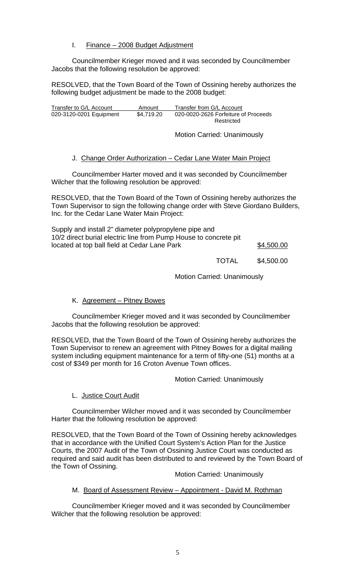## I. Finance – 2008 Budget Adjustment

Councilmember Krieger moved and it was seconded by Councilmember Jacobs that the following resolution be approved:

RESOLVED, that the Town Board of the Town of Ossining hereby authorizes the following budget adjustment be made to the 2008 budget:

| Transfer to G/L Account | Amount     | Transfer from G/L Account            |
|-------------------------|------------|--------------------------------------|
| 020-3120-0201 Equipment | \$4.719.20 | 020-0020-2626 Forfeiture of Proceeds |
|                         |            | Restricted                           |

Motion Carried: Unanimously

# J. Change Order Authorization – Cedar Lane Water Main Project

 Councilmember Harter moved and it was seconded by Councilmember Wilcher that the following resolution be approved:

RESOLVED, that the Town Board of the Town of Ossining hereby authorizes the Town Supervisor to sign the following change order with Steve Giordano Builders, Inc. for the Cedar Lane Water Main Project:

Supply and install 2" diameter polypropylene pipe and 10/2 direct burial electric line from Pump House to concrete pit located at top ball field at Cedar Lane Park  $$4,500.00$ 

TOTAL \$4,500.00

Motion Carried: Unanimously

## K. Agreement – Pitney Bowes

 Councilmember Krieger moved and it was seconded by Councilmember Jacobs that the following resolution be approved:

RESOLVED, that the Town Board of the Town of Ossining hereby authorizes the Town Supervisor to renew an agreement with Pitney Bowes for a digital mailing system including equipment maintenance for a term of fifty-one (51) months at a cost of \$349 per month for 16 Croton Avenue Town offices.

Motion Carried: Unanimously

## L. Justice Court Audit

 Councilmember Wilcher moved and it was seconded by Councilmember Harter that the following resolution be approved:

RESOLVED, that the Town Board of the Town of Ossining hereby acknowledges that in accordance with the Unified Court System's Action Plan for the Justice Courts, the 2007 Audit of the Town of Ossining Justice Court was conducted as required and said audit has been distributed to and reviewed by the Town Board of the Town of Ossining.

Motion Carried: Unanimously

## M. Board of Assessment Review – Appointment - David M. Rothman

 Councilmember Krieger moved and it was seconded by Councilmember Wilcher that the following resolution be approved: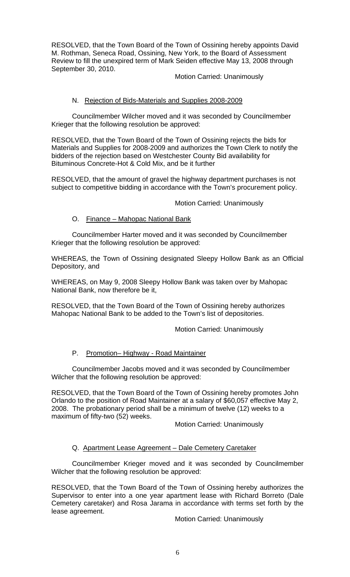RESOLVED, that the Town Board of the Town of Ossining hereby appoints David M. Rothman, Seneca Road, Ossining, New York, to the Board of Assessment Review to fill the unexpired term of Mark Seiden effective May 13, 2008 through September 30, 2010.

Motion Carried: Unanimously

## N. Rejection of Bids-Materials and Supplies 2008-2009

Councilmember Wilcher moved and it was seconded by Councilmember Krieger that the following resolution be approved:

RESOLVED, that the Town Board of the Town of Ossining rejects the bids for Materials and Supplies for 2008-2009 and authorizes the Town Clerk to notify the bidders of the rejection based on Westchester County Bid availability for Bituminous Concrete-Hot & Cold Mix, and be it further

RESOLVED, that the amount of gravel the highway department purchases is not subject to competitive bidding in accordance with the Town's procurement policy.

### Motion Carried: Unanimously

## O. Finance – Mahopac National Bank

Councilmember Harter moved and it was seconded by Councilmember Krieger that the following resolution be approved:

WHEREAS, the Town of Ossining designated Sleepy Hollow Bank as an Official Depository, and

WHEREAS, on May 9, 2008 Sleepy Hollow Bank was taken over by Mahopac National Bank, now therefore be it,

RESOLVED, that the Town Board of the Town of Ossining hereby authorizes Mahopac National Bank to be added to the Town's list of depositories.

Motion Carried: Unanimously

## P. Promotion– Highway - Road Maintainer

Councilmember Jacobs moved and it was seconded by Councilmember Wilcher that the following resolution be approved:

RESOLVED, that the Town Board of the Town of Ossining hereby promotes John Orlando to the position of Road Maintainer at a salary of \$60,057 effective May 2, 2008. The probationary period shall be a minimum of twelve (12) weeks to a maximum of fifty-two (52) weeks.

Motion Carried: Unanimously

### Q. Apartment Lease Agreement – Dale Cemetery Caretaker

 Councilmember Krieger moved and it was seconded by Councilmember Wilcher that the following resolution be approved:

RESOLVED, that the Town Board of the Town of Ossining hereby authorizes the Supervisor to enter into a one year apartment lease with Richard Borreto (Dale Cemetery caretaker) and Rosa Jarama in accordance with terms set forth by the lease agreement.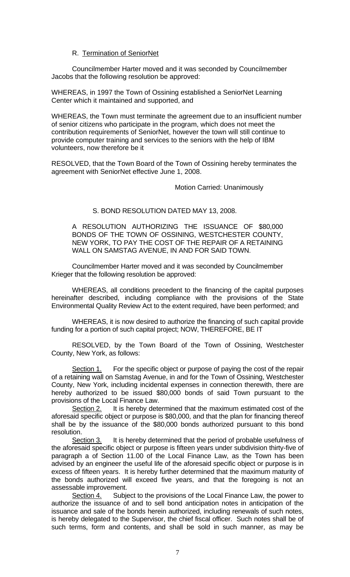### R. Termination of SeniorNet

Councilmember Harter moved and it was seconded by Councilmember Jacobs that the following resolution be approved:

WHEREAS, in 1997 the Town of Ossining established a SeniorNet Learning Center which it maintained and supported, and

WHEREAS, the Town must terminate the agreement due to an insufficient number of senior citizens who participate in the program, which does not meet the contribution requirements of SeniorNet, however the town will still continue to provide computer training and services to the seniors with the help of IBM volunteers, now therefore be it

RESOLVED, that the Town Board of the Town of Ossining hereby terminates the agreement with SeniorNet effective June 1, 2008.

### Motion Carried: Unanimously

### S. BOND RESOLUTION DATED MAY 13, 2008.

A RESOLUTION AUTHORIZING THE ISSUANCE OF \$80,000 BONDS OF THE TOWN OF OSSINING, WESTCHESTER COUNTY, NEW YORK, TO PAY THE COST OF THE REPAIR OF A RETAINING WALL ON SAMSTAG AVENUE, IN AND FOR SAID TOWN.

 Councilmember Harter moved and it was seconded by Councilmember Krieger that the following resolution be approved:

WHEREAS, all conditions precedent to the financing of the capital purposes hereinafter described, including compliance with the provisions of the State Environmental Quality Review Act to the extent required, have been performed; and

WHEREAS, it is now desired to authorize the financing of such capital provide funding for a portion of such capital project; NOW, THEREFORE, BE IT

RESOLVED, by the Town Board of the Town of Ossining, Westchester County, New York, as follows:

 Section 1. For the specific object or purpose of paying the cost of the repair of a retaining wall on Samstag Avenue, in and for the Town of Ossining, Westchester County, New York, including incidental expenses in connection therewith, there are hereby authorized to be issued \$80,000 bonds of said Town pursuant to the provisions of the Local Finance Law.

Section 2. It is hereby determined that the maximum estimated cost of the aforesaid specific object or purpose is \$80,000, and that the plan for financing thereof shall be by the issuance of the \$80,000 bonds authorized pursuant to this bond resolution.

Section 3. It is hereby determined that the period of probable usefulness of the aforesaid specific object or purpose is fifteen years under subdivision thirty-five of paragraph a of Section 11.00 of the Local Finance Law, as the Town has been advised by an engineer the useful life of the aforesaid specific object or purpose is in excess of fifteen years. It is hereby further determined that the maximum maturity of the bonds authorized will exceed five years, and that the foregoing is not an assessable improvement.

Section 4. Subject to the provisions of the Local Finance Law, the power to authorize the issuance of and to sell bond anticipation notes in anticipation of the issuance and sale of the bonds herein authorized, including renewals of such notes, is hereby delegated to the Supervisor, the chief fiscal officer. Such notes shall be of such terms, form and contents, and shall be sold in such manner, as may be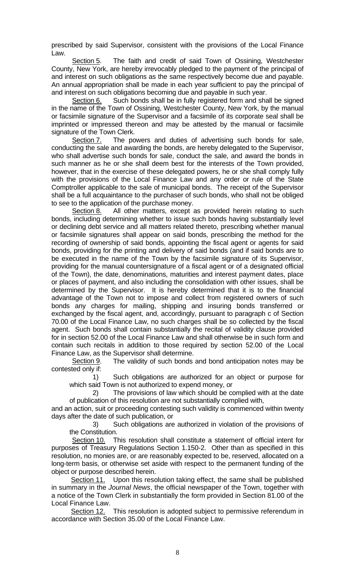prescribed by said Supervisor, consistent with the provisions of the Local Finance Law.

Section 5. The faith and credit of said Town of Ossining, Westchester County, New York, are hereby irrevocably pledged to the payment of the principal of and interest on such obligations as the same respectively become due and payable. An annual appropriation shall be made in each year sufficient to pay the principal of and interest on such obligations becoming due and payable in such year.

Section 6. Such bonds shall be in fully registered form and shall be signed in the name of the Town of Ossining, Westchester County, New York, by the manual or facsimile signature of the Supervisor and a facsimile of its corporate seal shall be imprinted or impressed thereon and may be attested by the manual or facsimile signature of the Town Clerk.

Section 7. The powers and duties of advertising such bonds for sale, conducting the sale and awarding the bonds, are hereby delegated to the Supervisor, who shall advertise such bonds for sale, conduct the sale, and award the bonds in such manner as he or she shall deem best for the interests of the Town provided, however, that in the exercise of these delegated powers, he or she shall comply fully with the provisions of the Local Finance Law and any order or rule of the State Comptroller applicable to the sale of municipal bonds. The receipt of the Supervisor shall be a full acquaintance to the purchaser of such bonds, who shall not be obliged to see to the application of the purchase money.

Section 8. All other matters, except as provided herein relating to such bonds, including determining whether to issue such bonds having substantially level or declining debt service and all matters related thereto, prescribing whether manual or facsimile signatures shall appear on said bonds, prescribing the method for the recording of ownership of said bonds, appointing the fiscal agent or agents for said bonds, providing for the printing and delivery of said bonds (and if said bonds are to be executed in the name of the Town by the facsimile signature of its Supervisor, providing for the manual countersignature of a fiscal agent or of a designated official of the Town), the date, denominations, maturities and interest payment dates, place or places of payment, and also including the consolidation with other issues, shall be determined by the Supervisor. It is hereby determined that it is to the financial advantage of the Town not to impose and collect from registered owners of such bonds any charges for mailing, shipping and insuring bonds transferred or exchanged by the fiscal agent, and, accordingly, pursuant to paragraph c of Section 70.00 of the Local Finance Law, no such charges shall be so collected by the fiscal agent. Such bonds shall contain substantially the recital of validity clause provided for in section 52.00 of the Local Finance Law and shall otherwise be in such form and contain such recitals in addition to those required by section 52.00 of the Local Finance Law, as the Supervisor shall determine.

Section 9. The validity of such bonds and bond anticipation notes may be contested only if:

1) Such obligations are authorized for an object or purpose for which said Town is not authorized to expend money, or

2) The provisions of law which should be complied with at the date of publication of this resolution are not substantially complied with,

and an action, suit or proceeding contesting such validity is commenced within twenty days after the date of such publication, or

3) Such obligations are authorized in violation of the provisions of the Constitution.

Section 10. This resolution shall constitute a statement of official intent for purposes of Treasury Regulations Section 1.150-2. Other than as specified in this resolution, no monies are, or are reasonably expected to be, reserved, allocated on a long-term basis, or otherwise set aside with respect to the permanent funding of the object or purpose described herein.

Section 11. Upon this resolution taking effect, the same shall be published in summary in the *Journal News*, the official newspaper of the Town, together with a notice of the Town Clerk in substantially the form provided in Section 81.00 of the Local Finance Law.

Section 12. This resolution is adopted subject to permissive referendum in accordance with Section 35.00 of the Local Finance Law.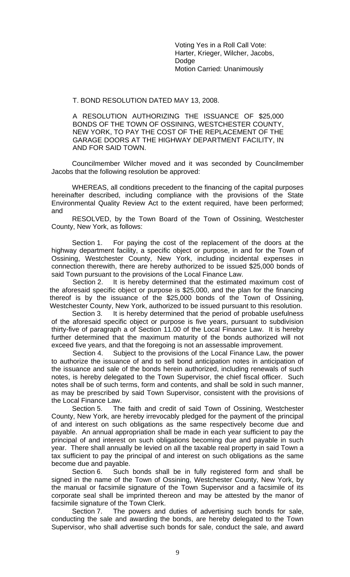Voting Yes in a Roll Call Vote: Harter, Krieger, Wilcher, Jacobs, Dodge Motion Carried: Unanimously

T. BOND RESOLUTION DATED MAY 13, 2008.

A RESOLUTION AUTHORIZING THE ISSUANCE OF \$25,000 BONDS OF THE TOWN OF OSSINING, WESTCHESTER COUNTY, NEW YORK, TO PAY THE COST OF THE REPLACEMENT OF THE GARAGE DOORS AT THE HIGHWAY DEPARTMENT FACILITY, IN AND FOR SAID TOWN.

Councilmember Wilcher moved and it was seconded by Councilmember Jacobs that the following resolution be approved:

WHEREAS, all conditions precedent to the financing of the capital purposes hereinafter described, including compliance with the provisions of the State Environmental Quality Review Act to the extent required, have been performed; and

RESOLVED, by the Town Board of the Town of Ossining, Westchester County, New York, as follows:

Section 1. For paying the cost of the replacement of the doors at the highway department facility, a specific object or purpose, in and for the Town of Ossining, Westchester County, New York, including incidental expenses in connection therewith, there are hereby authorized to be issued \$25,000 bonds of said Town pursuant to the provisions of the Local Finance Law.

Section 2. It is hereby determined that the estimated maximum cost of the aforesaid specific object or purpose is \$25,000, and the plan for the financing thereof is by the issuance of the \$25,000 bonds of the Town of Ossining, Westchester County, New York, authorized to be issued pursuant to this resolution.

Section 3. It is hereby determined that the period of probable usefulness of the aforesaid specific object or purpose is five years, pursuant to subdivision thirty-five of paragraph a of Section 11.00 of the Local Finance Law. It is hereby further determined that the maximum maturity of the bonds authorized will not exceed five years, and that the foregoing is not an assessable improvement.

Section 4. Subject to the provisions of the Local Finance Law, the power to authorize the issuance of and to sell bond anticipation notes in anticipation of the issuance and sale of the bonds herein authorized, including renewals of such notes, is hereby delegated to the Town Supervisor, the chief fiscal officer. Such notes shall be of such terms, form and contents, and shall be sold in such manner, as may be prescribed by said Town Supervisor, consistent with the provisions of the Local Finance Law.

Section 5. The faith and credit of said Town of Ossining, Westchester County, New York, are hereby irrevocably pledged for the payment of the principal of and interest on such obligations as the same respectively become due and payable. An annual appropriation shall be made in each year sufficient to pay the principal of and interest on such obligations becoming due and payable in such year. There shall annually be levied on all the taxable real property in said Town a tax sufficient to pay the principal of and interest on such obligations as the same become due and payable.

Section 6. Such bonds shall be in fully registered form and shall be signed in the name of the Town of Ossining, Westchester County, New York, by the manual or facsimile signature of the Town Supervisor and a facsimile of its corporate seal shall be imprinted thereon and may be attested by the manor of facsimile signature of the Town Clerk.

Section 7. The powers and duties of advertising such bonds for sale, conducting the sale and awarding the bonds, are hereby delegated to the Town Supervisor, who shall advertise such bonds for sale, conduct the sale, and award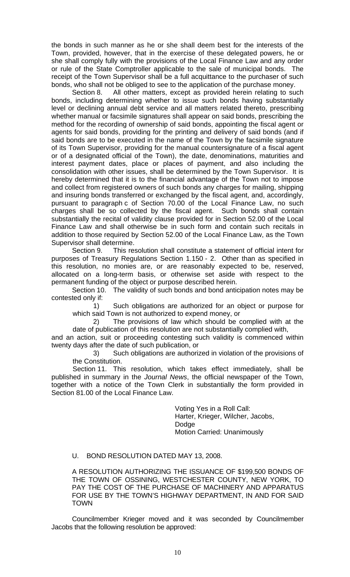the bonds in such manner as he or she shall deem best for the interests of the Town, provided, however, that in the exercise of these delegated powers, he or she shall comply fully with the provisions of the Local Finance Law and any order or rule of the State Comptroller applicable to the sale of municipal bonds. The receipt of the Town Supervisor shall be a full acquittance to the purchaser of such bonds, who shall not be obliged to see to the application of the purchase money.

Section 8. All other matters, except as provided herein relating to such bonds, including determining whether to issue such bonds having substantially level or declining annual debt service and all matters related thereto, prescribing whether manual or facsimile signatures shall appear on said bonds, prescribing the method for the recording of ownership of said bonds, appointing the fiscal agent or agents for said bonds, providing for the printing and delivery of said bonds (and if said bonds are to be executed in the name of the Town by the facsimile signature of its Town Supervisor, providing for the manual countersignature of a fiscal agent or of a designated official of the Town), the date, denominations, maturities and interest payment dates, place or places of payment, and also including the consolidation with other issues, shall be determined by the Town Supervisor. It is hereby determined that it is to the financial advantage of the Town not to impose and collect from registered owners of such bonds any charges for mailing, shipping and insuring bonds transferred or exchanged by the fiscal agent, and, accordingly, pursuant to paragraph c of Section 70.00 of the Local Finance Law, no such charges shall be so collected by the fiscal agent. Such bonds shall contain substantially the recital of validity clause provided for in Section 52.00 of the Local Finance Law and shall otherwise be in such form and contain such recitals in addition to those required by Section 52.00 of the Local Finance Law, as the Town Supervisor shall determine.

Section 9. This resolution shall constitute a statement of official intent for purposes of Treasury Regulations Section 1.150 - 2. Other than as specified in this resolution, no monies are, or are reasonably expected to be, reserved, allocated on a long-term basis, or otherwise set aside with respect to the permanent funding of the object or purpose described herein.

Section 10. The validity of such bonds and bond anticipation notes may be contested only if:

1) Such obligations are authorized for an object or purpose for which said Town is not authorized to expend money, or

2) The provisions of law which should be complied with at the date of publication of this resolution are not substantially complied with,

and an action, suit or proceeding contesting such validity is commenced within twenty days after the date of such publication, or

3) Such obligations are authorized in violation of the provisions of the Constitution.

Section 11. This resolution, which takes effect immediately, shall be published in summary in the *Journal News*, the official newspaper of the Town, together with a notice of the Town Clerk in substantially the form provided in Section 81.00 of the Local Finance Law.

> Voting Yes in a Roll Call: Harter, Krieger, Wilcher, Jacobs, Dodge Motion Carried: Unanimously

### U. BOND RESOLUTION DATED MAY 13, 2008.

 A RESOLUTION AUTHORIZING THE ISSUANCE OF \$199,500 BONDS OF THE TOWN OF OSSINING, WESTCHESTER COUNTY, NEW YORK, TO PAY THE COST OF THE PURCHASE OF MACHINERY AND APPARATUS FOR USE BY THE TOWN'S HIGHWAY DEPARTMENT, IN AND FOR SAID **TOWN** 

 Councilmember Krieger moved and it was seconded by Councilmember Jacobs that the following resolution be approved: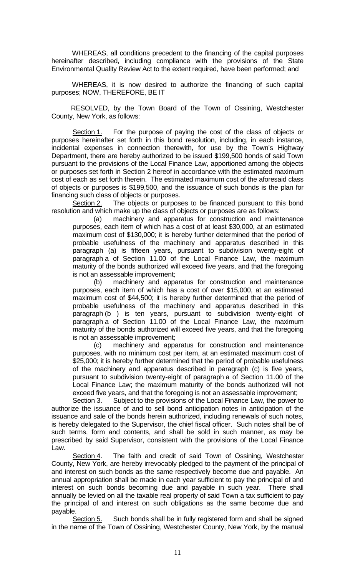WHEREAS, all conditions precedent to the financing of the capital purposes hereinafter described, including compliance with the provisions of the State Environmental Quality Review Act to the extent required, have been performed; and

WHEREAS, it is now desired to authorize the financing of such capital purposes; NOW, THEREFORE, BE IT

RESOLVED, by the Town Board of the Town of Ossining, Westchester County, New York, as follows:

Section 1. For the purpose of paying the cost of the class of objects or purposes hereinafter set forth in this bond resolution, including, in each instance, incidental expenses in connection therewith, for use by the Town's Highway Department, there are hereby authorized to be issued \$199,500 bonds of said Town pursuant to the provisions of the Local Finance Law, apportioned among the objects or purposes set forth in Section 2 hereof in accordance with the estimated maximum cost of each as set forth therein. The estimated maximum cost of the aforesaid class of objects or purposes is \$199,500, and the issuance of such bonds is the plan for financing such class of objects or purposes.

Section 2. The objects or purposes to be financed pursuant to this bond resolution and which make up the class of objects or purposes are as follows:

(a) machinery and apparatus for construction and maintenance purposes, each item of which has a cost of at least \$30,000, at an estimated maximum cost of \$130,000; it is hereby further determined that the period of probable usefulness of the machinery and apparatus described in this paragraph (a) is fifteen years, pursuant to subdivision twenty-eight of paragraph a of Section 11.00 of the Local Finance Law, the maximum maturity of the bonds authorized will exceed five years, and that the foregoing is not an assessable improvement;

(b) machinery and apparatus for construction and maintenance purposes, each item of which has a cost of over \$15,000, at an estimated maximum cost of \$44,500; it is hereby further determined that the period of probable usefulness of the machinery and apparatus described in this paragraph (b ) is ten years, pursuant to subdivision twenty-eight of paragraph a of Section 11.00 of the Local Finance Law, the maximum maturity of the bonds authorized will exceed five years, and that the foregoing is not an assessable improvement;

(c) machinery and apparatus for construction and maintenance purposes, with no minimum cost per item, at an estimated maximum cost of \$25,000; it is hereby further determined that the period of probable usefulness of the machinery and apparatus described in paragraph (c) is five years, pursuant to subdivision twenty-eight of paragraph a of Section 11.00 of the Local Finance Law; the maximum maturity of the bonds authorized will not exceed five years, and that the foregoing is not an assessable improvement;

Section 3. Subject to the provisions of the Local Finance Law, the power to authorize the issuance of and to sell bond anticipation notes in anticipation of the issuance and sale of the bonds herein authorized, including renewals of such notes, is hereby delegated to the Supervisor, the chief fiscal officer. Such notes shall be of such terms, form and contents, and shall be sold in such manner, as may be prescribed by said Supervisor, consistent with the provisions of the Local Finance Law.

Section 4. The faith and credit of said Town of Ossining, Westchester County, New York, are hereby irrevocably pledged to the payment of the principal of and interest on such bonds as the same respectively become due and payable. An annual appropriation shall be made in each year sufficient to pay the principal of and interest on such bonds becoming due and payable in such year. There shall annually be levied on all the taxable real property of said Town a tax sufficient to pay the principal of and interest on such obligations as the same become due and payable.

Section 5. Such bonds shall be in fully registered form and shall be signed in the name of the Town of Ossining, Westchester County, New York, by the manual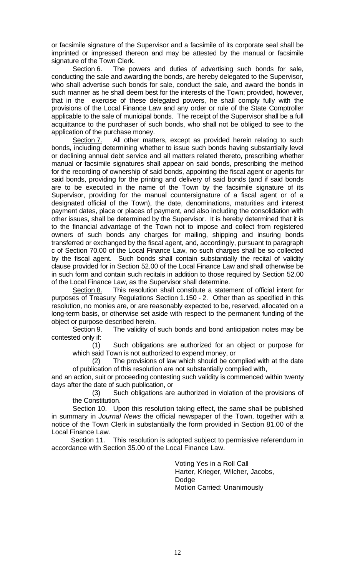or facsimile signature of the Supervisor and a facsimile of its corporate seal shall be imprinted or impressed thereon and may be attested by the manual or facsimile signature of the Town Clerk.

Section 6. The powers and duties of advertising such bonds for sale, conducting the sale and awarding the bonds, are hereby delegated to the Supervisor, who shall advertise such bonds for sale, conduct the sale, and award the bonds in such manner as he shall deem best for the interests of the Town; provided, however, that in the exercise of these delegated powers, he shall comply fully with the provisions of the Local Finance Law and any order or rule of the State Comptroller applicable to the sale of municipal bonds. The receipt of the Supervisor shall be a full acquittance to the purchaser of such bonds, who shall not be obliged to see to the application of the purchase money.

Section 7. All other matters, except as provided herein relating to such bonds, including determining whether to issue such bonds having substantially level or declining annual debt service and all matters related thereto, prescribing whether manual or facsimile signatures shall appear on said bonds, prescribing the method for the recording of ownership of said bonds, appointing the fiscal agent or agents for said bonds, providing for the printing and delivery of said bonds (and if said bonds are to be executed in the name of the Town by the facsimile signature of its Supervisor, providing for the manual countersignature of a fiscal agent or of a designated official of the Town), the date, denominations, maturities and interest payment dates, place or places of payment, and also including the consolidation with other issues, shall be determined by the Supervisor. It is hereby determined that it is to the financial advantage of the Town not to impose and collect from registered owners of such bonds any charges for mailing, shipping and insuring bonds transferred or exchanged by the fiscal agent, and, accordingly, pursuant to paragraph c of Section 70.00 of the Local Finance Law, no such charges shall be so collected by the fiscal agent. Such bonds shall contain substantially the recital of validity clause provided for in Section 52.00 of the Local Finance Law and shall otherwise be in such form and contain such recitals in addition to those required by Section 52.00 of the Local Finance Law, as the Supervisor shall determine.

Section 8. This resolution shall constitute a statement of official intent for purposes of Treasury Regulations Section 1.150 - 2. Other than as specified in this resolution, no monies are, or are reasonably expected to be, reserved, allocated on a long-term basis, or otherwise set aside with respect to the permanent funding of the object or purpose described herein.

Section 9. The validity of such bonds and bond anticipation notes may be contested only if:

(1) Such obligations are authorized for an object or purpose for which said Town is not authorized to expend money, or

(2) The provisions of law which should be complied with at the date of publication of this resolution are not substantially complied with,

and an action, suit or proceeding contesting such validity is commenced within twenty days after the date of such publication, or

(3) Such obligations are authorized in violation of the provisions of the Constitution.

Section 10. Upon this resolution taking effect, the same shall be published in summary in *Journal News* the official newspaper of the Town, together with a notice of the Town Clerk in substantially the form provided in Section 81.00 of the Local Finance Law.

Section 11. This resolution is adopted subject to permissive referendum in accordance with Section 35.00 of the Local Finance Law.

> Voting Yes in a Roll Call Harter, Krieger, Wilcher, Jacobs, Dodge Motion Carried: Unanimously